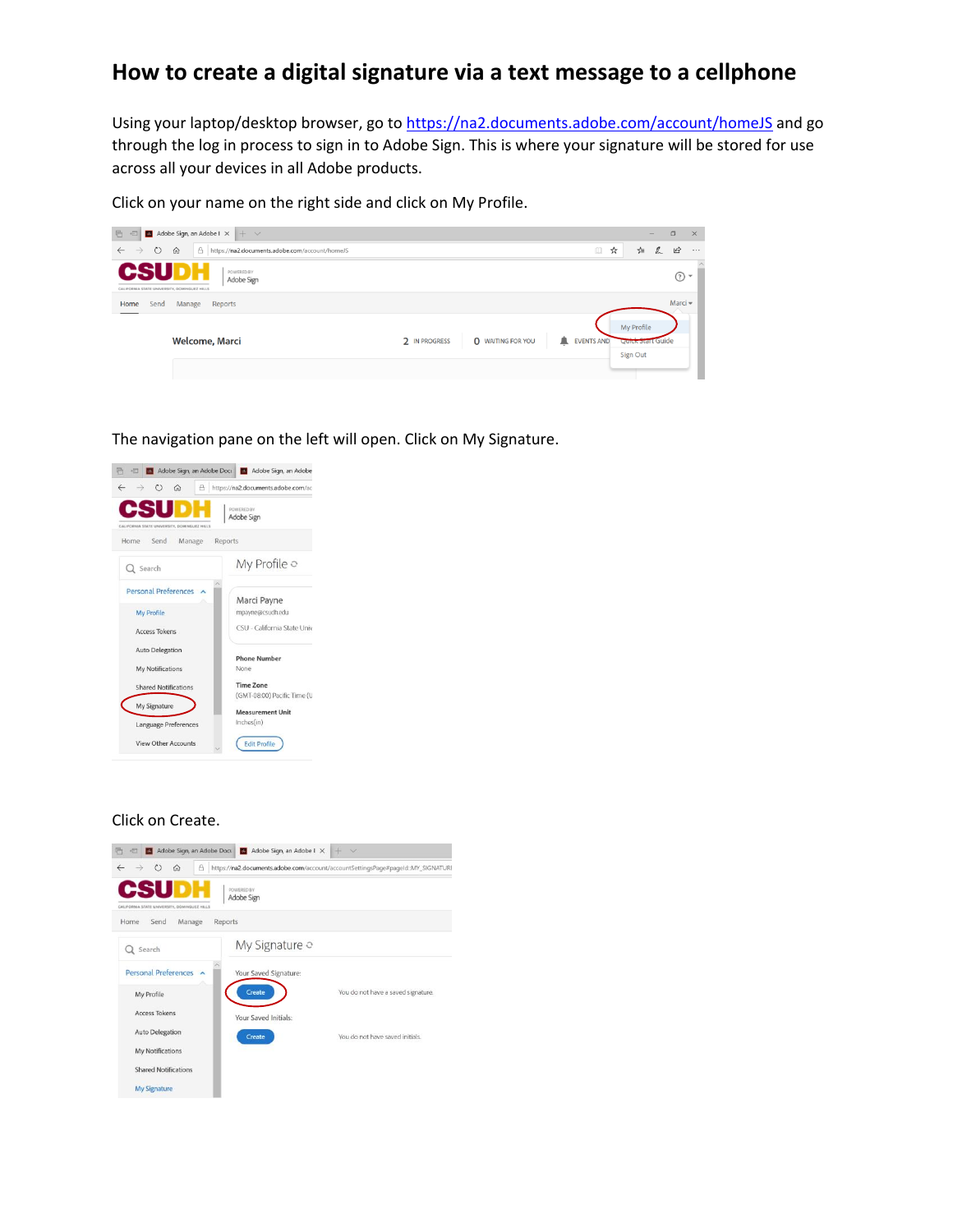## **How to create a digital signature via a text message to a cellphone**

Using your laptop/desktop browser, go to<https://na2.documents.adobe.com/account/homeJS> and go through the log in process to sign in to Adobe Sign. This is where your signature will be stored for use across all your devices in all Adobe products.

Click on your name on the right side and click on My Profile.

| 后 日<br>Adobe Sign, an Adobe $1 \times + \sqrt{ }$                                            |                                                                     | $\overline{\phantom{a}}$ | $\Box$<br>$\times$         |
|----------------------------------------------------------------------------------------------|---------------------------------------------------------------------|--------------------------|----------------------------|
| $\leftarrow \rightarrow$<br>$\circ$<br>△ https://na2.documents.adobe.com/account/homeJS<br>⋒ | $\Box$                                                              | $\mathbb{Z}$<br>☆<br>☆≡  | $\mathfrak{G}$<br>$\cdots$ |
| <b>CSU</b><br>POWERED BY<br>Adobe Sign<br>CALIFORNIA STATE UNIVERSITY, DOMINGUEZ HILLS       |                                                                     |                          | $\odot$ -                  |
| Send<br>Manage<br>Reports<br>Home                                                            |                                                                     |                          | Marci -                    |
|                                                                                              |                                                                     | My Profile               |                            |
| Welcome, Marci                                                                               | 2 IN PROGRESS<br><b>O</b> WAITING FOR YOU<br>▲<br><b>EVENTS AND</b> | Quick start Guide        |                            |
|                                                                                              |                                                                     | Sign Out                 |                            |
|                                                                                              |                                                                     |                          |                            |

The navigation pane on the left will open. Click on My Signature.



## Click on Create.

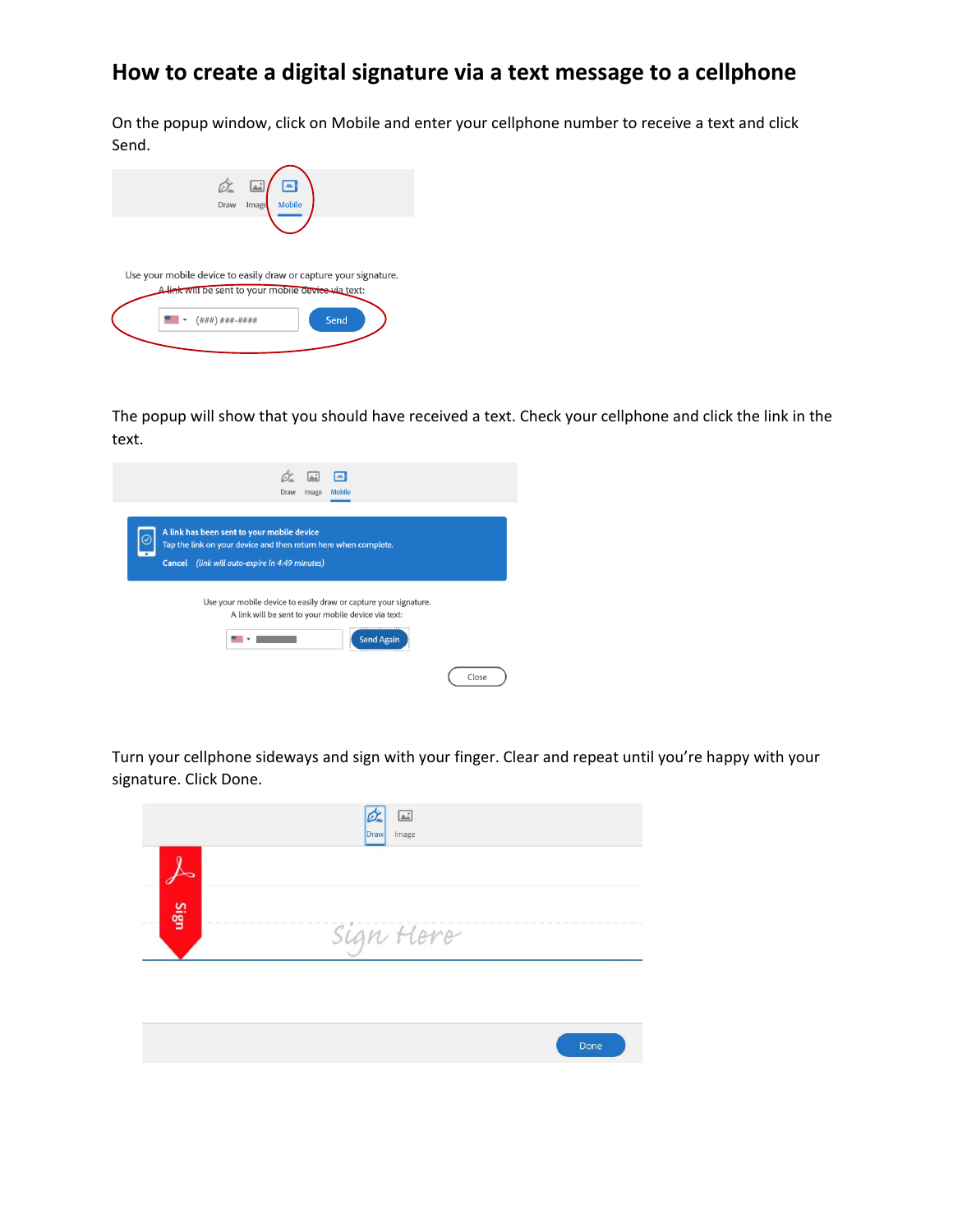## **How to create a digital signature via a text message to a cellphone**

On the popup window, click on Mobile and enter your cellphone number to receive a text and click Send.

| Ò.<br><u>ئە</u><br>Ab-<br><b>Mobile</b><br>Draw<br>Image                                                                |
|-------------------------------------------------------------------------------------------------------------------------|
|                                                                                                                         |
| Use your mobile device to easily draw or capture your signature.<br>A link will be sent to your mobile device via text: |
| Send<br>$($ ### $)$ ###-####                                                                                            |
|                                                                                                                         |

The popup will show that you should have received a text. Check your cellphone and click the link in the text.

| $\overline{\phantom{a}}$<br>Mobile<br>Draw<br>Image                                                                                                             |       |
|-----------------------------------------------------------------------------------------------------------------------------------------------------------------|-------|
| A link has been sent to your mobile device<br>Tap the link on your device and then return here when complete.<br>Cancel (link will auto-expire in 4:49 minutes) |       |
| Use your mobile device to easily draw or capture your signature.<br>A link will be sent to your mobile device via text:<br><b>Send Again</b>                    |       |
|                                                                                                                                                                 | Close |

Turn your cellphone sideways and sign with your finger. Clear and repeat until you're happy with your signature. Click Done.

| sign | Sign Here<br>and company and company company |  |
|------|----------------------------------------------|--|
|      |                                              |  |
|      |                                              |  |